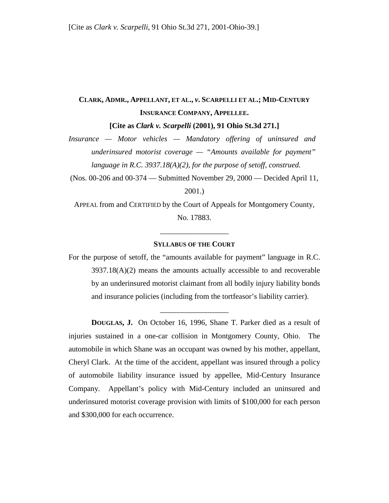## **CLARK, ADMR., APPELLANT, ET AL.,** *v***. SCARPELLI ET AL.; MID-CENTURY INSURANCE COMPANY, APPELLEE.**

**[Cite as** *Clark v. Scarpelli* **(2001), 91 Ohio St.3d 271.]**

*Insurance — Motor vehicles — Mandatory offering of uninsured and underinsured motorist coverage — "Amounts available for payment" language in R.C. 3937.18(A)(2), for the purpose of setoff, construed.* 

(Nos. 00-206 and 00-374 — Submitted November 29, 2000 — Decided April 11, 2001.)

APPEAL from and CERTIFIED by the Court of Appeals for Montgomery County, No. 17883.

## **SYLLABUS OF THE COURT**

\_\_\_\_\_\_\_\_\_\_\_\_\_\_\_\_\_\_

For the purpose of setoff, the "amounts available for payment" language in R.C. 3937.18(A)(2) means the amounts actually accessible to and recoverable by an underinsured motorist claimant from all bodily injury liability bonds and insurance policies (including from the tortfeasor's liability carrier).

\_\_\_\_\_\_\_\_\_\_\_\_\_\_\_\_\_\_

**DOUGLAS, J.** On October 16, 1996, Shane T. Parker died as a result of injuries sustained in a one-car collision in Montgomery County, Ohio. The automobile in which Shane was an occupant was owned by his mother, appellant, Cheryl Clark. At the time of the accident, appellant was insured through a policy of automobile liability insurance issued by appellee, Mid-Century Insurance Company. Appellant's policy with Mid-Century included an uninsured and underinsured motorist coverage provision with limits of \$100,000 for each person and \$300,000 for each occurrence.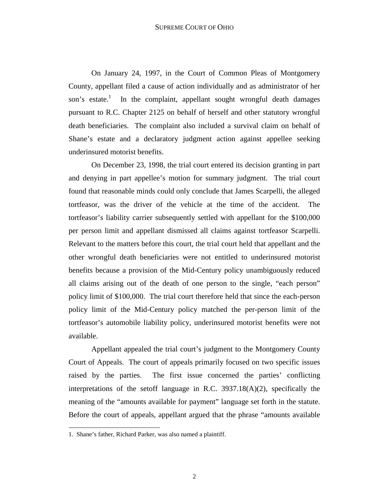On January 24, 1997, in the Court of Common Pleas of Montgomery County, appellant filed a cause of action individually and as administrator of her son's estate.<sup>1</sup> In the complaint, appellant sought wrongful death damages pursuant to R.C. Chapter 2125 on behalf of herself and other statutory wrongful death beneficiaries. The complaint also included a survival claim on behalf of Shane's estate and a declaratory judgment action against appellee seeking underinsured motorist benefits.

 On December 23, 1998, the trial court entered its decision granting in part and denying in part appellee's motion for summary judgment. The trial court found that reasonable minds could only conclude that James Scarpelli, the alleged tortfeasor, was the driver of the vehicle at the time of the accident. The tortfeasor's liability carrier subsequently settled with appellant for the \$100,000 per person limit and appellant dismissed all claims against tortfeasor Scarpelli. Relevant to the matters before this court, the trial court held that appellant and the other wrongful death beneficiaries were not entitled to underinsured motorist benefits because a provision of the Mid-Century policy unambiguously reduced all claims arising out of the death of one person to the single, "each person" policy limit of \$100,000. The trial court therefore held that since the each-person policy limit of the Mid-Century policy matched the per-person limit of the tortfeasor's automobile liability policy, underinsured motorist benefits were not available.

 Appellant appealed the trial court's judgment to the Montgomery County Court of Appeals. The court of appeals primarily focused on two specific issues raised by the parties. The first issue concerned the parties' conflicting interpretations of the setoff language in R.C. 3937.18(A)(2), specifically the meaning of the "amounts available for payment" language set forth in the statute. Before the court of appeals, appellant argued that the phrase "amounts available

-

<sup>1.</sup> Shane's father, Richard Parker, was also named a plaintiff.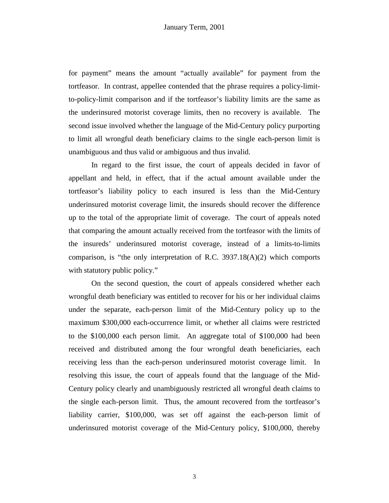for payment" means the amount "actually available" for payment from the tortfeasor. In contrast, appellee contended that the phrase requires a policy-limitto-policy-limit comparison and if the tortfeasor's liability limits are the same as the underinsured motorist coverage limits, then no recovery is available. The second issue involved whether the language of the Mid-Century policy purporting to limit all wrongful death beneficiary claims to the single each-person limit is unambiguous and thus valid or ambiguous and thus invalid.

 In regard to the first issue, the court of appeals decided in favor of appellant and held, in effect, that if the actual amount available under the tortfeasor's liability policy to each insured is less than the Mid-Century underinsured motorist coverage limit, the insureds should recover the difference up to the total of the appropriate limit of coverage. The court of appeals noted that comparing the amount actually received from the tortfeasor with the limits of the insureds' underinsured motorist coverage, instead of a limits-to-limits comparison, is "the only interpretation of R.C. 3937.18(A)(2) which comports with statutory public policy."

 On the second question, the court of appeals considered whether each wrongful death beneficiary was entitled to recover for his or her individual claims under the separate, each-person limit of the Mid-Century policy up to the maximum \$300,000 each-occurrence limit, or whether all claims were restricted to the \$100,000 each person limit. An aggregate total of \$100,000 had been received and distributed among the four wrongful death beneficiaries, each receiving less than the each-person underinsured motorist coverage limit. In resolving this issue, the court of appeals found that the language of the Mid-Century policy clearly and unambiguously restricted all wrongful death claims to the single each-person limit. Thus, the amount recovered from the tortfeasor's liability carrier, \$100,000, was set off against the each-person limit of underinsured motorist coverage of the Mid-Century policy, \$100,000, thereby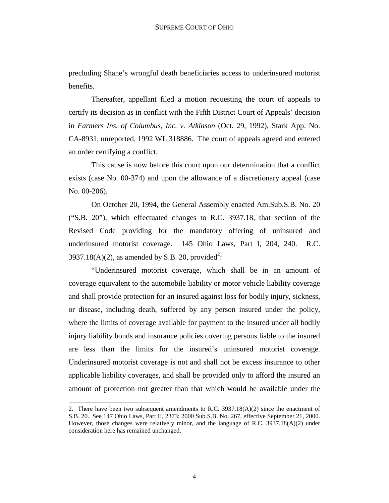precluding Shane's wrongful death beneficiaries access to underinsured motorist benefits.

 Thereafter, appellant filed a motion requesting the court of appeals to certify its decision as in conflict with the Fifth District Court of Appeals' decision in *Farmers Ins. of Columbus, Inc. v. Atkinson* (Oct. 29, 1992), Stark App. No. CA-8931, unreported, 1992 WL 318886. The court of appeals agreed and entered an order certifying a conflict.

 This cause is now before this court upon our determination that a conflict exists (case No. 00-374) and upon the allowance of a discretionary appeal (case No. 00-206).

 On October 20, 1994, the General Assembly enacted Am.Sub.S.B. No. 20 ("S.B. 20"), which effectuated changes to R.C. 3937.18, that section of the Revised Code providing for the mandatory offering of uninsured and underinsured motorist coverage. 145 Ohio Laws, Part I, 204, 240. R.C. 3937.18(A)(2), as amended by S.B. 20, provided<sup>2</sup>:

 "Underinsured motorist coverage, which shall be in an amount of coverage equivalent to the automobile liability or motor vehicle liability coverage and shall provide protection for an insured against loss for bodily injury, sickness, or disease, including death, suffered by any person insured under the policy, where the limits of coverage available for payment to the insured under all bodily injury liability bonds and insurance policies covering persons liable to the insured are less than the limits for the insured's uninsured motorist coverage. Underinsured motorist coverage is not and shall not be excess insurance to other applicable liability coverages, and shall be provided only to afford the insured an amount of protection not greater than that which would be available under the

 $\overline{a}$ 

<sup>2.</sup> There have been two subsequent amendments to R.C.  $3937.18(A)(2)$  since the enactment of S.B. 20. See 147 Ohio Laws, Part II, 2373; 2000 Sub.S.B. No. 267, effective September 21, 2000. However, those changes were relatively minor, and the language of R.C. 3937.18(A)(2) under consideration here has remained unchanged.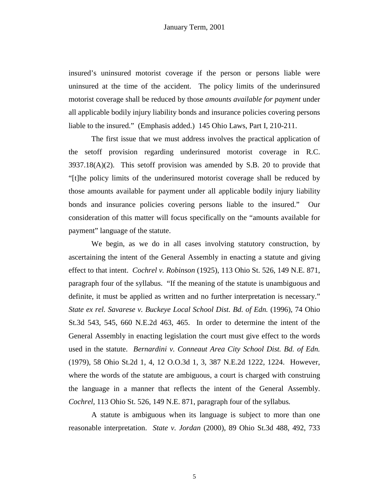insured's uninsured motorist coverage if the person or persons liable were uninsured at the time of the accident. The policy limits of the underinsured motorist coverage shall be reduced by those *amounts available for payment* under all applicable bodily injury liability bonds and insurance policies covering persons liable to the insured." (Emphasis added.) 145 Ohio Laws, Part I, 210-211.

 The first issue that we must address involves the practical application of the setoff provision regarding underinsured motorist coverage in R.C.  $3937.18(A)(2)$ . This setoff provision was amended by S.B. 20 to provide that "[t]he policy limits of the underinsured motorist coverage shall be reduced by those amounts available for payment under all applicable bodily injury liability bonds and insurance policies covering persons liable to the insured." Our consideration of this matter will focus specifically on the "amounts available for payment" language of the statute.

 We begin, as we do in all cases involving statutory construction, by ascertaining the intent of the General Assembly in enacting a statute and giving effect to that intent. *Cochrel v. Robinson* (1925), 113 Ohio St. 526, 149 N.E. 871, paragraph four of the syllabus. "If the meaning of the statute is unambiguous and definite, it must be applied as written and no further interpretation is necessary." *State ex rel. Savarese v. Buckeye Local School Dist. Bd. of Edn.* (1996), 74 Ohio St.3d 543, 545, 660 N.E.2d 463, 465. In order to determine the intent of the General Assembly in enacting legislation the court must give effect to the words used in the statute. *Bernardini v. Conneaut Area City School Dist. Bd. of Edn.*  (1979), 58 Ohio St.2d 1, 4, 12 O.O.3d 1, 3, 387 N.E.2d 1222, 1224. However, where the words of the statute are ambiguous, a court is charged with construing the language in a manner that reflects the intent of the General Assembly. *Cochrel,* 113 Ohio St. 526, 149 N.E. 871, paragraph four of the syllabus*.*

 A statute is ambiguous when its language is subject to more than one reasonable interpretation. *State v. Jordan* (2000), 89 Ohio St.3d 488, 492, 733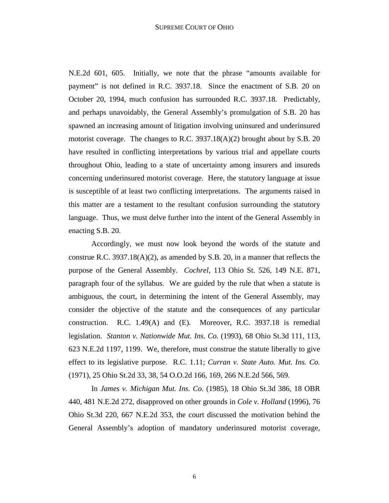N.E.2d 601, 605. Initially, we note that the phrase "amounts available for payment" is not defined in R.C. 3937.18. Since the enactment of S.B. 20 on October 20, 1994, much confusion has surrounded R.C. 3937.18. Predictably, and perhaps unavoidably, the General Assembly's promulgation of S.B. 20 has spawned an increasing amount of litigation involving uninsured and underinsured motorist coverage. The changes to R.C.  $3937.18(A)(2)$  brought about by S.B. 20 have resulted in conflicting interpretations by various trial and appellate courts throughout Ohio, leading to a state of uncertainty among insurers and insureds concerning underinsured motorist coverage. Here, the statutory language at issue is susceptible of at least two conflicting interpretations. The arguments raised in this matter are a testament to the resultant confusion surrounding the statutory language. Thus, we must delve further into the intent of the General Assembly in enacting S.B. 20.

 Accordingly, we must now look beyond the words of the statute and construe R.C. 3937.18( $A$ )(2), as amended by S.B. 20, in a manner that reflects the purpose of the General Assembly. *Cochrel*, 113 Ohio St. 526, 149 N.E. 871, paragraph four of the syllabus. We are guided by the rule that when a statute is ambiguous, the court, in determining the intent of the General Assembly, may consider the objective of the statute and the consequences of any particular construction. R.C. 1.49(A) and (E). Moreover, R.C. 3937.18 is remedial legislation. *Stanton v. Nationwide Mut. Ins. Co.* (1993), 68 Ohio St.3d 111, 113, 623 N.E.2d 1197, 1199. We, therefore, must construe the statute liberally to give effect to its legislative purpose. R.C. 1.11; *Curran v. State Auto. Mut. Ins. Co.*  (1971), 25 Ohio St.2d 33, 38, 54 O.O.2d 166, 169, 266 N.E.2d 566, 569.

 In *James v. Michigan Mut. Ins. Co.* (1985), 18 Ohio St.3d 386, 18 OBR 440, 481 N.E.2d 272, disapproved on other grounds in *Cole v. Holland* (1996), 76 Ohio St.3d 220, 667 N.E.2d 353, the court discussed the motivation behind the General Assembly's adoption of mandatory underinsured motorist coverage,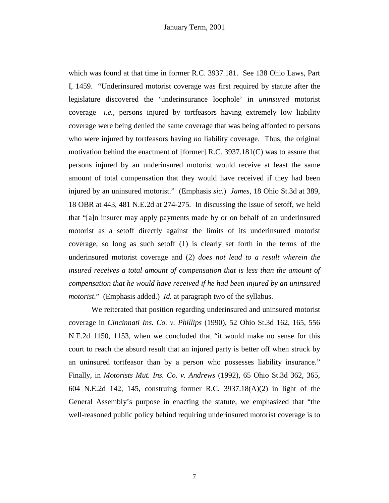which was found at that time in former R.C. 3937.181. See 138 Ohio Laws, Part I, 1459. "Underinsured motorist coverage was first required by statute after the legislature discovered the 'underinsurance loophole' in *uninsured* motorist coverage—*i.e.,* persons injured by tortfeasors having extremely low liability coverage were being denied the same coverage that was being afforded to persons who were injured by tortfeasors having *no* liability coverage. Thus, the original motivation behind the enactment of [former] R.C. 3937.181(C) was to assure that persons injured by an underinsured motorist would receive at least the same amount of total compensation that they would have received if they had been injured by an uninsured motorist." (Emphasis *sic*.) *James*, 18 Ohio St.3d at 389, 18 OBR at 443, 481 N.E.2d at 274-275. In discussing the issue of setoff, we held that "[a]n insurer may apply payments made by or on behalf of an underinsured motorist as a setoff directly against the limits of its underinsured motorist coverage, so long as such setoff (1) is clearly set forth in the terms of the underinsured motorist coverage and (2) *does not lead to a result wherein the insured receives a total amount of compensation that is less than the amount of compensation that he would have received if he had been injured by an uninsured motorist*." (Emphasis added.) *Id.* at paragraph two of the syllabus.

 We reiterated that position regarding underinsured and uninsured motorist coverage in *Cincinnati Ins. Co. v. Phillips* (1990), 52 Ohio St.3d 162, 165, 556 N.E.2d 1150, 1153, when we concluded that "it would make no sense for this court to reach the absurd result that an injured party is better off when struck by an uninsured tortfeasor than by a person who possesses liability insurance." Finally, in *Motorists Mut. Ins. Co. v. Andrews* (1992), 65 Ohio St.3d 362, 365, 604 N.E.2d 142, 145, construing former R.C. 3937.18(A)(2) in light of the General Assembly's purpose in enacting the statute, we emphasized that "the well-reasoned public policy behind requiring underinsured motorist coverage is to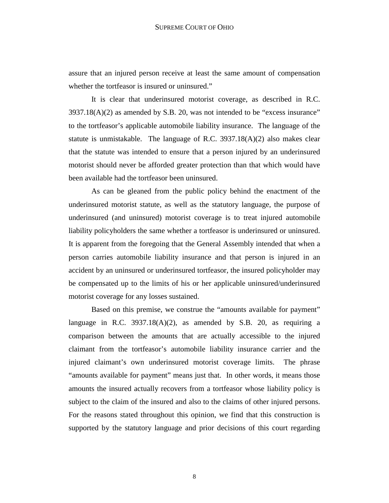assure that an injured person receive at least the same amount of compensation whether the tortfeasor is insured or uninsured."

 It is clear that underinsured motorist coverage, as described in R.C. 3937.18(A)(2) as amended by S.B. 20, was not intended to be "excess insurance" to the tortfeasor's applicable automobile liability insurance. The language of the statute is unmistakable. The language of R.C. 3937.18(A)(2) also makes clear that the statute was intended to ensure that a person injured by an underinsured motorist should never be afforded greater protection than that which would have been available had the tortfeasor been uninsured.

 As can be gleaned from the public policy behind the enactment of the underinsured motorist statute, as well as the statutory language, the purpose of underinsured (and uninsured) motorist coverage is to treat injured automobile liability policyholders the same whether a tortfeasor is underinsured or uninsured. It is apparent from the foregoing that the General Assembly intended that when a person carries automobile liability insurance and that person is injured in an accident by an uninsured or underinsured tortfeasor, the insured policyholder may be compensated up to the limits of his or her applicable uninsured/underinsured motorist coverage for any losses sustained.

 Based on this premise, we construe the "amounts available for payment" language in R.C.  $3937.18(A)(2)$ , as amended by S.B. 20, as requiring a comparison between the amounts that are actually accessible to the injured claimant from the tortfeasor's automobile liability insurance carrier and the injured claimant's own underinsured motorist coverage limits. The phrase "amounts available for payment" means just that. In other words, it means those amounts the insured actually recovers from a tortfeasor whose liability policy is subject to the claim of the insured and also to the claims of other injured persons. For the reasons stated throughout this opinion, we find that this construction is supported by the statutory language and prior decisions of this court regarding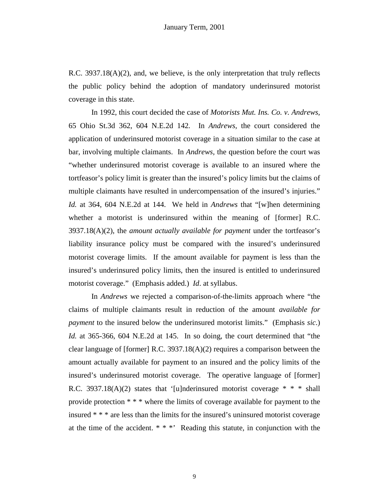R.C. 3937.18(A)(2), and, we believe, is the only interpretation that truly reflects the public policy behind the adoption of mandatory underinsured motorist coverage in this state.

 In 1992, this court decided the case of *Motorists Mut. Ins. Co. v. Andrews,* 65 Ohio St.3d 362, 604 N.E.2d 142*.* In *Andrews,* the court considered the application of underinsured motorist coverage in a situation similar to the case at bar, involving multiple claimants. In *Andrews,* the question before the court was "whether underinsured motorist coverage is available to an insured where the tortfeasor's policy limit is greater than the insured's policy limits but the claims of multiple claimants have resulted in undercompensation of the insured's injuries." *Id.* at 364, 604 N.E.2d at 144. We held in *Andrews* that "[w]hen determining whether a motorist is underinsured within the meaning of [former] R.C. 3937.18(A)(2), the *amount actually available for payment* under the tortfeasor's liability insurance policy must be compared with the insured's underinsured motorist coverage limits. If the amount available for payment is less than the insured's underinsured policy limits, then the insured is entitled to underinsured motorist coverage." (Emphasis added.) *Id*. at syllabus.

 In *Andrews* we rejected a comparison-of-the-limits approach where "the claims of multiple claimants result in reduction of the amount *available for payment* to the insured below the underinsured motorist limits." (Emphasis *sic*.) *Id.* at 365-366, 604 N.E.2d at 145. In so doing, the court determined that "the clear language of [former] R.C. 3937.18(A)(2) requires a comparison between the amount actually available for payment to an insured and the policy limits of the insured's underinsured motorist coverage. The operative language of [former] R.C. 3937.18(A)(2) states that '[u]nderinsured motorist coverage  $* * *$  shall provide protection \* \* \* where the limits of coverage available for payment to the insured \* \* \* are less than the limits for the insured's uninsured motorist coverage at the time of the accident. \* \* \*' Reading this statute, in conjunction with the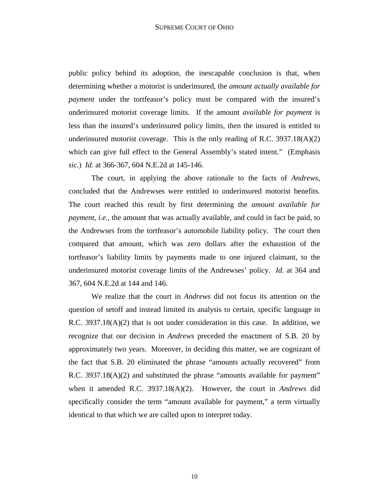public policy behind its adoption, the inescapable conclusion is that, when determining whether a motorist is underinsured, the *amount actually available for payment* under the tortfeasor's policy must be compared with the insured's underinsured motorist coverage limits. If the amount *available for payment* is less than the insured's underinsured policy limits, then the insured is entitled to underinsured motorist coverage. This is the only reading of R.C.  $3937.18(A)(2)$ which can give full effect to the General Assembly's stated intent." (Emphasis *sic.*) *Id.* at 366-367, 604 N.E.2d at 145-146.

 The court, in applying the above rationale to the facts of *Andrews*, concluded that the Andrewses were entitled to underinsured motorist benefits. The court reached this result by first determining the *amount available for payment*, *i.e.,* the amount that was actually available, and could in fact be paid, to the Andrewses from the tortfeasor's automobile liability policy. The court then compared that amount, which was zero dollars after the exhaustion of the tortfeasor's liability limits by payments made to one injured claimant, to the underinsured motorist coverage limits of the Andrewses' policy. *Id.* at 364 and 367, 604 N.E.2d at 144 and 146.

 We realize that the court in *Andrews* did not focus its attention on the question of setoff and instead limited its analysis to certain, specific language in R.C.  $3937.18(A)(2)$  that is not under consideration in this case. In addition, we recognize that our decision in *Andrews* preceded the enactment of S.B. 20 by approximately two years. Moreover, in deciding this matter, we are cognizant of the fact that S.B. 20 eliminated the phrase "amounts actually recovered" from R.C. 3937.18(A)(2) and substituted the phrase "amounts available for payment" when it amended R.C. 3937.18(A)(2). However, the court in *Andrews* did specifically consider the term "amount available for payment," a term virtually identical to that which we are called upon to interpret today.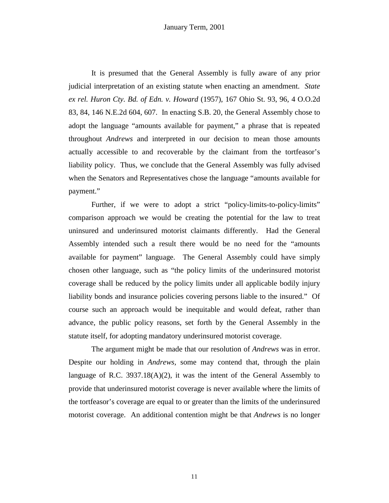It is presumed that the General Assembly is fully aware of any prior judicial interpretation of an existing statute when enacting an amendment. *State ex rel. Huron Cty. Bd. of Edn. v. Howard* (1957), 167 Ohio St. 93, 96, 4 O.O.2d 83, 84, 146 N.E.2d 604, 607. In enacting S.B. 20, the General Assembly chose to adopt the language "amounts available for payment," a phrase that is repeated throughout *Andrews* and interpreted in our decision to mean those amounts actually accessible to and recoverable by the claimant from the tortfeasor's liability policy. Thus, we conclude that the General Assembly was fully advised when the Senators and Representatives chose the language "amounts available for payment."

 Further, if we were to adopt a strict "policy-limits-to-policy-limits" comparison approach we would be creating the potential for the law to treat uninsured and underinsured motorist claimants differently. Had the General Assembly intended such a result there would be no need for the "amounts available for payment" language. The General Assembly could have simply chosen other language, such as "the policy limits of the underinsured motorist coverage shall be reduced by the policy limits under all applicable bodily injury liability bonds and insurance policies covering persons liable to the insured." Of course such an approach would be inequitable and would defeat, rather than advance, the public policy reasons, set forth by the General Assembly in the statute itself, for adopting mandatory underinsured motorist coverage.

 The argument might be made that our resolution of *Andrews* was in error. Despite our holding in *Andrews,* some may contend that, through the plain language of R.C. 3937.18 $(A)(2)$ , it was the intent of the General Assembly to provide that underinsured motorist coverage is never available where the limits of the tortfeasor's coverage are equal to or greater than the limits of the underinsured motorist coverage. An additional contention might be that *Andrews* is no longer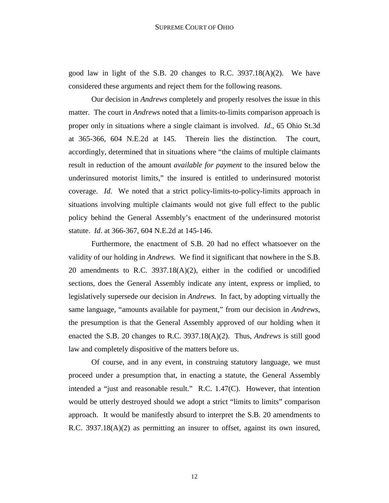good law in light of the S.B. 20 changes to R.C. 3937.18(A)(2). We have considered these arguments and reject them for the following reasons.

 Our decision in *Andrews* completely and properly resolves the issue in this matter. The court in *Andrews* noted that a limits-to-limits comparison approach is proper only in situations where a single claimant is involved. *Id*., 65 Ohio St.3d at 365-366, 604 N.E.2d at 145. Therein lies the distinction. The court, accordingly, determined that in situations where "the claims of multiple claimants result in reduction of the amount *available for payment* to the insured below the underinsured motorist limits," the insured is entitled to underinsured motorist coverage. *Id.* We noted that a strict policy-limits-to-policy-limits approach in situations involving multiple claimants would not give full effect to the public policy behind the General Assembly's enactment of the underinsured motorist statute. *Id*. at 366-367, 604 N.E.2d at 145-146.

 Furthermore, the enactment of S.B. 20 had no effect whatsoever on the validity of our holding in *Andrews.* We find it significant that nowhere in the S.B. 20 amendments to R.C. 3937.18(A)(2), either in the codified or uncodified sections, does the General Assembly indicate any intent, express or implied, to legislatively supersede our decision in *Andrews.* In fact, by adopting virtually the same language, "amounts available for payment," from our decision in *Andrews*, the presumption is that the General Assembly approved of our holding when it enacted the S.B. 20 changes to R.C. 3937.18(A)(2). Thus, *Andrews* is still good law and completely dispositive of the matters before us.

 Of course, and in any event, in construing statutory language, we must proceed under a presumption that, in enacting a statute, the General Assembly intended a "just and reasonable result." R.C. 1.47(C). However, that intention would be utterly destroyed should we adopt a strict "limits to limits" comparison approach. It would be manifestly absurd to interpret the S.B. 20 amendments to R.C. 3937.18(A)(2) as permitting an insurer to offset, against its own insured,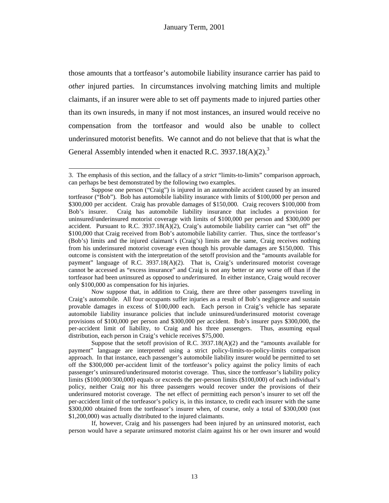those amounts that a tortfeasor's automobile liability insurance carrier has paid to *other* injured parties. In circumstances involving matching limits and multiple claimants, if an insurer were able to set off payments made to injured parties other than its own insureds, in many if not most instances, an insured would receive no compensation from the tortfeasor and would also be unable to collect underinsured motorist benefits. We cannot and do not believe that that is what the General Assembly intended when it enacted R.C.  $3937.18(A)(2)^{3}$ 

-

 If, however, Craig and his passengers had been injured by an *un*insured motorist, each person would have a separate *un*insured motorist claim against his or her own insurer and would

<sup>3.</sup> The emphasis of this section, and the fallacy of a *strict* "limits-to-limits" comparison approach, can perhaps be best demonstrated by the following two examples.

Suppose one person ("Craig") is injured in an automobile accident caused by an insured tortfeasor ("Bob"). Bob has automobile liability insurance with limits of \$100,000 per person and \$300,000 per accident. Craig has provable damages of \$150,000. Craig recovers \$100,000 from Bob's insurer. Craig has automobile liability insurance that includes a provision for uninsured/underinsured motorist coverage with limits of \$100,000 per person and \$300,000 per accident. Pursuant to R.C. 3937.18(A)(2), Craig's automobile liability carrier can "set off" the \$100,000 that Craig received from Bob's automobile liability carrier. Thus, since the tortfeasor's (Bob's) limits and the injured claimant's (Craig's) limits are the same, Craig receives nothing from his underinsured motorist coverage even though his provable damages are \$150,000. This outcome is consistent with the interpretation of the setoff provision and the "amounts available for payment" language of R.C.  $3937.18(A)(2)$ . That is, Craig's underinsured motorist coverage cannot be accessed as "excess insurance" and Craig is not any better or any worse off than if the tortfeasor had been *un*insured as opposed to *under*insured. In either instance, Craig would recover only \$100,000 as compensation for his injuries.

Now suppose that, in addition to Craig, there are three other passengers traveling in Craig's automobile. All four occupants suffer injuries as a result of Bob's negligence and sustain provable damages in excess of \$100,000 each. Each person in Craig's vehicle has separate automobile liability insurance policies that include uninsured/underinsured motorist coverage provisions of \$100,000 per person and \$300,000 per accident. Bob's insurer pays \$300,000, the per-accident limit of liability, to Craig and his three passengers. Thus, assuming equal distribution, each person in Craig's vehicle receives \$75,000.

Suppose that the setoff provision of R.C.  $3937.18(A)(2)$  and the "amounts available for payment" language are interpreted using a strict policy-limits-to-policy-limits comparison approach. In that instance, each passenger's automobile liability insurer would be permitted to set off the \$300,000 per-accident limit of the tortfeasor's policy against the policy limits of each passenger's uninsured/underinsured motorist coverage. Thus, since the tortfeasor's liability policy limits (\$100,000/300,000) equals or exceeds the per-person limits (\$100,000) of each individual's policy, neither Craig nor his three passengers would recover under the provisions of their underinsured motorist coverage. The net effect of permitting each person's insurer to set off the per-accident limit of the tortfeasor's policy is, in this instance, to credit each insurer with the same \$300,000 obtained from the tortfeasor's insurer when, of course, only a total of \$300,000 (not \$1,200,000) was actually distributed to the injured claimants.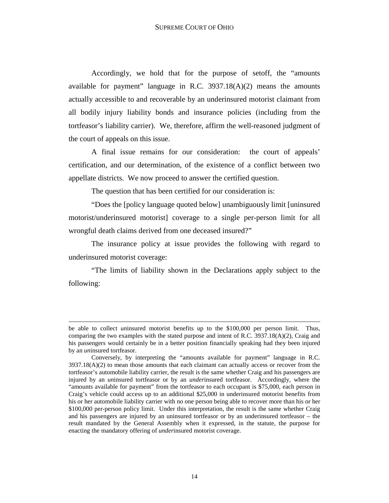Accordingly, we hold that for the purpose of setoff, the "amounts available for payment" language in R.C.  $3937.18(A)(2)$  means the amounts actually accessible to and recoverable by an underinsured motorist claimant from all bodily injury liability bonds and insurance policies (including from the tortfeasor's liability carrier). We, therefore, affirm the well-reasoned judgment of the court of appeals on this issue.

 A final issue remains for our consideration: the court of appeals' certification, and our determination, of the existence of a conflict between two appellate districts. We now proceed to answer the certified question.

The question that has been certified for our consideration is:

 "Does the [policy language quoted below] unambiguously limit [uninsured motorist/underinsured motorist] coverage to a single per-person limit for all wrongful death claims derived from one deceased insured?"

 The insurance policy at issue provides the following with regard to underinsured motorist coverage:

 "The limits of liability shown in the Declarations apply subject to the following:

be able to collect *un*insured motorist benefits up to the \$100,000 per person limit. Thus, comparing the two examples with the stated purpose and intent of R.C. 3937.18( $A$ )(2), Craig and his passengers would certainly be in a better position financially speaking had they been injured by an *un*insured tortfeasor.

Conversely, by interpreting the "amounts available for payment" language in R.C.  $3937.18(A)(2)$  to mean those amounts that each claimant can actually access or recover from the tortfeasor's automobile liability carrier, the result is the same whether Craig and his passengers are injured by an *un*insured tortfeasor or by an *under*insured tortfeasor. Accordingly, where the "amounts available for payment" from the tortfeasor to each occupant is \$75,000, each person in Craig's vehicle could access up to an additional \$25,000 in underinsured motorist benefits from his or her automobile liability carrier with no one person being able to recover more than his or her \$100,000 per-person policy limit. Under this interpretation, the result is the same whether Craig and his passengers are injured by an uninsured tortfeasor or by an underinsured tortfeasor – the result mandated by the General Assembly when it expressed, in the statute, the purpose for enacting the mandatory offering of *under*insured motorist coverage.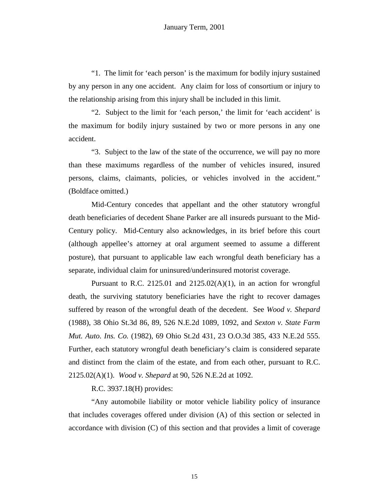"1. The limit for 'each person' is the maximum for bodily injury sustained by any person in any one accident. Any claim for loss of consortium or injury to the relationship arising from this injury shall be included in this limit.

 "2. Subject to the limit for 'each person,' the limit for 'each accident' is the maximum for bodily injury sustained by two or more persons in any one accident.

 "3. Subject to the law of the state of the occurrence, we will pay no more than these maximums regardless of the number of vehicles insured, insured persons, claims, claimants, policies, or vehicles involved in the accident." (Boldface omitted.)

 Mid-Century concedes that appellant and the other statutory wrongful death beneficiaries of decedent Shane Parker are all insureds pursuant to the Mid-Century policy. Mid-Century also acknowledges, in its brief before this court (although appellee's attorney at oral argument seemed to assume a different posture), that pursuant to applicable law each wrongful death beneficiary has a separate, individual claim for uninsured/underinsured motorist coverage.

Pursuant to R.C. 2125.01 and 2125.02(A)(1), in an action for wrongful death, the surviving statutory beneficiaries have the right to recover damages suffered by reason of the wrongful death of the decedent. See *Wood v. Shepard* (1988), 38 Ohio St.3d 86, 89, 526 N.E.2d 1089, 1092, and *Sexton v. State Farm Mut. Auto. Ins. Co.* (1982), 69 Ohio St.2d 431, 23 O.O.3d 385, 433 N.E.2d 555. Further, each statutory wrongful death beneficiary's claim is considered separate and distinct from the claim of the estate, and from each other, pursuant to R.C. 2125.02(A)(1). *Wood v. Shepard* at 90, 526 N.E.2d at 1092.

R.C. 3937.18(H) provides:

 "Any automobile liability or motor vehicle liability policy of insurance that includes coverages offered under division (A) of this section or selected in accordance with division (C) of this section and that provides a limit of coverage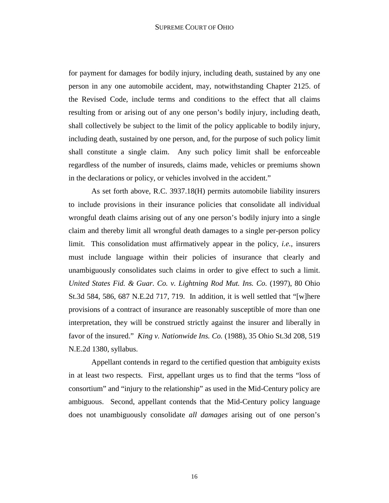for payment for damages for bodily injury, including death, sustained by any one person in any one automobile accident, may, notwithstanding Chapter 2125. of the Revised Code, include terms and conditions to the effect that all claims resulting from or arising out of any one person's bodily injury, including death, shall collectively be subject to the limit of the policy applicable to bodily injury, including death, sustained by one person, and, for the purpose of such policy limit shall constitute a single claim. Any such policy limit shall be enforceable regardless of the number of insureds, claims made, vehicles or premiums shown in the declarations or policy, or vehicles involved in the accident."

 As set forth above, R.C. 3937.18(H) permits automobile liability insurers to include provisions in their insurance policies that consolidate all individual wrongful death claims arising out of any one person's bodily injury into a single claim and thereby limit all wrongful death damages to a single per-person policy limit. This consolidation must affirmatively appear in the policy, *i.e.*, insurers must include language within their policies of insurance that clearly and unambiguously consolidates such claims in order to give effect to such a limit. *United States Fid. & Guar. Co. v. Lightning Rod Mut. Ins. Co.* (1997), 80 Ohio St.3d 584, 586, 687 N.E.2d 717, 719. In addition, it is well settled that "[w]here provisions of a contract of insurance are reasonably susceptible of more than one interpretation, they will be construed strictly against the insurer and liberally in favor of the insured." *King v. Nationwide Ins. Co.* (1988), 35 Ohio St.3d 208, 519 N.E.2d 1380, syllabus.

 Appellant contends in regard to the certified question that ambiguity exists in at least two respects. First, appellant urges us to find that the terms "loss of consortium" and "injury to the relationship" as used in the Mid-Century policy are ambiguous. Second, appellant contends that the Mid-Century policy language does not unambiguously consolidate *all damages* arising out of one person's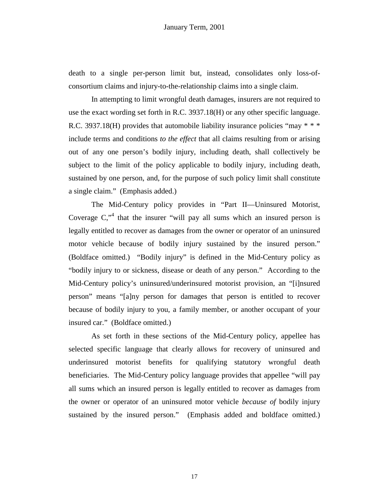death to a single per-person limit but, instead, consolidates only loss-ofconsortium claims and injury-to-the-relationship claims into a single claim.

 In attempting to limit wrongful death damages, insurers are not required to use the exact wording set forth in R.C. 3937.18(H) or any other specific language. R.C. 3937.18(H) provides that automobile liability insurance policies "may  $* * *$ include terms and conditions *to the effect* that all claims resulting from or arising out of any one person's bodily injury, including death, shall collectively be subject to the limit of the policy applicable to bodily injury, including death, sustained by one person, and, for the purpose of such policy limit shall constitute a single claim." (Emphasis added.)

 The Mid-Century policy provides in "Part II—Uninsured Motorist, Coverage  $C$ ,<sup> $4$ </sup> that the insurer "will pay all sums which an insured person is legally entitled to recover as damages from the owner or operator of an uninsured motor vehicle because of bodily injury sustained by the insured person." (Boldface omitted.) "Bodily injury" is defined in the Mid-Century policy as "bodily injury to or sickness, disease or death of any person." According to the Mid-Century policy's uninsured/underinsured motorist provision, an "[i]nsured person" means "[a]ny person for damages that person is entitled to recover because of bodily injury to you, a family member, or another occupant of your insured car." (Boldface omitted.)

 As set forth in these sections of the Mid-Century policy, appellee has selected specific language that clearly allows for recovery of uninsured and underinsured motorist benefits for qualifying statutory wrongful death beneficiaries. The Mid-Century policy language provides that appellee "will pay all sums which an insured person is legally entitled to recover as damages from the owner or operator of an uninsured motor vehicle *because of* bodily injury sustained by the insured person." (Emphasis added and boldface omitted.)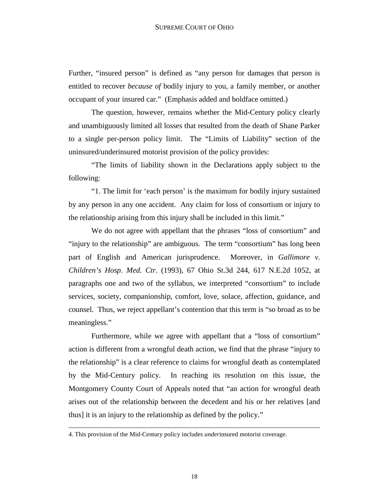Further, "insured person" is defined as "any person for damages that person is entitled to recover *because of* bodily injury to you, a family member, or another occupant of your insured car." (Emphasis added and boldface omitted.)

 The question, however, remains whether the Mid-Century policy clearly and unambiguously limited all losses that resulted from the death of Shane Parker to a single per-person policy limit. The "Limits of Liability" section of the uninsured/underinsured motorist provision of the policy provides:

 "The limits of liability shown in the Declarations apply subject to the following:

 "1. The limit for 'each person' is the maximum for bodily injury sustained by any person in any one accident. Any claim for loss of consortium or injury to the relationship arising from this injury shall be included in this limit."

 We do not agree with appellant that the phrases "loss of consortium" and "injury to the relationship" are ambiguous. The term "consortium" has long been part of English and American jurisprudence. Moreover, in *Gallimore v. Children's Hosp. Med. Ctr.* (1993), 67 Ohio St.3d 244, 617 N.E.2d 1052, at paragraphs one and two of the syllabus, we interpreted "consortium" to include services, society, companionship, comfort, love, solace, affection, guidance, and counsel. Thus, we reject appellant's contention that this term is "so broad as to be meaningless."

 Furthermore, while we agree with appellant that a "loss of consortium" action is different from a wrongful death action, we find that the phrase "injury to the relationship" is a clear reference to claims for wrongful death as contemplated by the Mid-Century policy. In reaching its resolution on this issue, the Montgomery County Court of Appeals noted that "an action for wrongful death arises out of the relationship between the decedent and his or her relatives [and thus] it is an injury to the relationship as defined by the policy."

-

<sup>4.</sup> This provision of the Mid-Century policy includes *under*insured motorist coverage.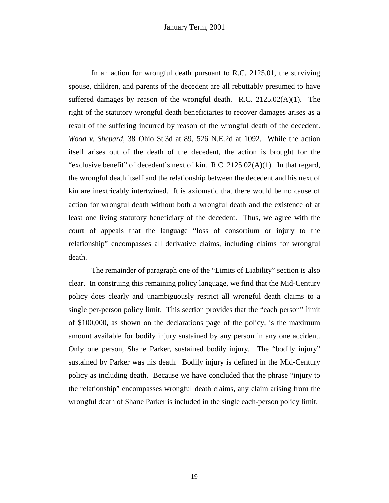In an action for wrongful death pursuant to R.C. 2125.01, the surviving spouse, children, and parents of the decedent are all rebuttably presumed to have suffered damages by reason of the wrongful death. R.C.  $2125.02(A)(1)$ . The right of the statutory wrongful death beneficiaries to recover damages arises as a result of the suffering incurred by reason of the wrongful death of the decedent. *Wood v. Shepard*, 38 Ohio St.3d at 89, 526 N.E.2d at 1092. While the action itself arises out of the death of the decedent, the action is brought for the "exclusive benefit" of decedent's next of kin. R.C. 2125.02(A)(1). In that regard, the wrongful death itself and the relationship between the decedent and his next of kin are inextricably intertwined. It is axiomatic that there would be no cause of action for wrongful death without both a wrongful death and the existence of at least one living statutory beneficiary of the decedent. Thus, we agree with the court of appeals that the language "loss of consortium or injury to the relationship" encompasses all derivative claims, including claims for wrongful death.

 The remainder of paragraph one of the "Limits of Liability" section is also clear. In construing this remaining policy language, we find that the Mid-Century policy does clearly and unambiguously restrict all wrongful death claims to a single per-person policy limit. This section provides that the "each person" limit of \$100,000, as shown on the declarations page of the policy, is the maximum amount available for bodily injury sustained by any person in any one accident. Only one person, Shane Parker, sustained bodily injury. The "bodily injury" sustained by Parker was his death. Bodily injury is defined in the Mid-Century policy as including death. Because we have concluded that the phrase "injury to the relationship" encompasses wrongful death claims, any claim arising from the wrongful death of Shane Parker is included in the single each-person policy limit.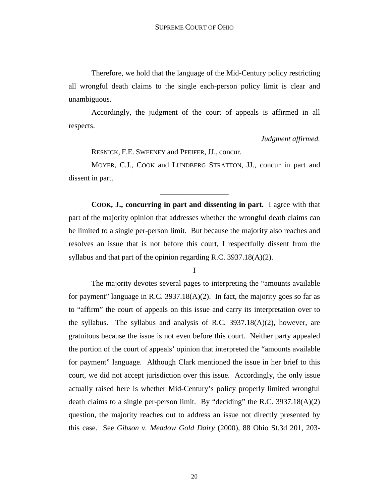Therefore, we hold that the language of the Mid-Century policy restricting all wrongful death claims to the single each-person policy limit is clear and unambiguous.

 Accordingly, the judgment of the court of appeals is affirmed in all respects.

*Judgment affirmed.* 

RESNICK, F.E. SWEENEY and PFEIFER, JJ., concur.

 MOYER, C.J., COOK and LUNDBERG STRATTON, JJ., concur in part and dissent in part.

\_\_\_\_\_\_\_\_\_\_\_\_\_\_\_\_\_\_

 **COOK, J., concurring in part and dissenting in part.** I agree with that part of the majority opinion that addresses whether the wrongful death claims can be limited to a single per-person limit. But because the majority also reaches and resolves an issue that is not before this court, I respectfully dissent from the syllabus and that part of the opinion regarding R.C. 3937.18(A)(2).

I

The majority devotes several pages to interpreting the "amounts available for payment" language in R.C. 3937.18( $A$ )(2). In fact, the majority goes so far as to "affirm" the court of appeals on this issue and carry its interpretation over to the syllabus. The syllabus and analysis of R.C. 3937.18(A)(2), however, are gratuitous because the issue is not even before this court. Neither party appealed the portion of the court of appeals' opinion that interpreted the "amounts available for payment" language. Although Clark mentioned the issue in her brief to this court, we did not accept jurisdiction over this issue. Accordingly, the only issue actually raised here is whether Mid-Century's policy properly limited wrongful death claims to a single per-person limit. By "deciding" the R.C. 3937.18(A)(2) question, the majority reaches out to address an issue not directly presented by this case. See *Gibson v. Meadow Gold Dairy* (2000), 88 Ohio St.3d 201, 203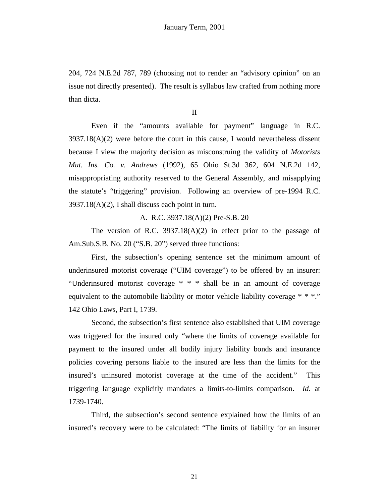204, 724 N.E.2d 787, 789 (choosing not to render an "advisory opinion" on an issue not directly presented). The result is syllabus law crafted from nothing more than dicta.

II

 Even if the "amounts available for payment" language in R.C.  $3937.18(A)(2)$  were before the court in this cause, I would nevertheless dissent because I view the majority decision as misconstruing the validity of *Motorists Mut. Ins. Co. v. Andrews* (1992), 65 Ohio St.3d 362, 604 N.E.2d 142, misappropriating authority reserved to the General Assembly, and misapplying the statute's "triggering" provision. Following an overview of pre-1994 R.C.  $3937.18(A)(2)$ , I shall discuss each point in turn.

A. R.C. 3937.18(A)(2) Pre-S.B. 20

 The version of R.C. 3937.18(A)(2) in effect prior to the passage of Am.Sub.S.B. No. 20 ("S.B. 20") served three functions:

 First, the subsection's opening sentence set the minimum amount of underinsured motorist coverage ("UIM coverage") to be offered by an insurer: "Underinsured motorist coverage \* \* \* shall be in an amount of coverage equivalent to the automobile liability or motor vehicle liability coverage \* \* \*." 142 Ohio Laws, Part I, 1739.

 Second, the subsection's first sentence also established that UIM coverage was triggered for the insured only "where the limits of coverage available for payment to the insured under all bodily injury liability bonds and insurance policies covering persons liable to the insured are less than the limits for the insured's uninsured motorist coverage at the time of the accident." This triggering language explicitly mandates a limits-to-limits comparison. *Id*. at 1739-1740.

 Third, the subsection's second sentence explained how the limits of an insured's recovery were to be calculated: "The limits of liability for an insurer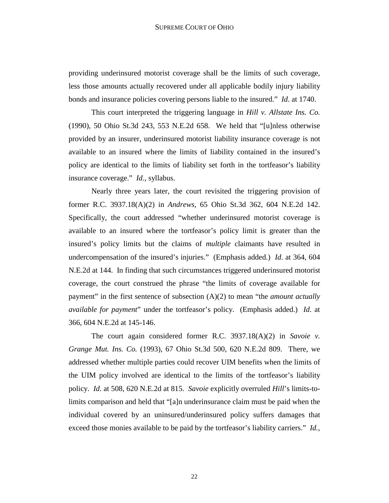providing underinsured motorist coverage shall be the limits of such coverage, less those amounts actually recovered under all applicable bodily injury liability bonds and insurance policies covering persons liable to the insured." *Id*. at 1740.

 This court interpreted the triggering language in *Hill v. Allstate Ins. Co.* (1990), 50 Ohio St.3d 243, 553 N.E.2d 658. We held that "[u]nless otherwise provided by an insurer, underinsured motorist liability insurance coverage is not available to an insured where the limits of liability contained in the insured's policy are identical to the limits of liability set forth in the tortfeasor's liability insurance coverage." *Id*., syllabus.

 Nearly three years later, the court revisited the triggering provision of former R.C. 3937.18(A)(2) in *Andrews*, 65 Ohio St.3d 362, 604 N.E.2d 142. Specifically, the court addressed "whether underinsured motorist coverage is available to an insured where the tortfeasor's policy limit is greater than the insured's policy limits but the claims of *multiple* claimants have resulted in undercompensation of the insured's injuries." (Emphasis added.) *Id*. at 364, 604 N.E.2d at 144. In finding that such circumstances triggered underinsured motorist coverage, the court construed the phrase "the limits of coverage available for payment" in the first sentence of subsection (A)(2) to mean "the *amount actually available for payment*" under the tortfeasor's policy. (Emphasis added.) *Id*. at 366, 604 N.E.2d at 145-146.

 The court again considered former R.C. 3937.18(A)(2) in *Savoie v. Grange Mut. Ins. Co.* (1993), 67 Ohio St.3d 500, 620 N.E.2d 809. There, we addressed whether multiple parties could recover UIM benefits when the limits of the UIM policy involved are identical to the limits of the tortfeasor's liability policy. *Id*. at 508, 620 N.E.2d at 815. *Savoie* explicitly overruled *Hill*'s limits-tolimits comparison and held that "[a]n underinsurance claim must be paid when the individual covered by an uninsured/underinsured policy suffers damages that exceed those monies available to be paid by the tortfeasor's liability carriers." *Id.,*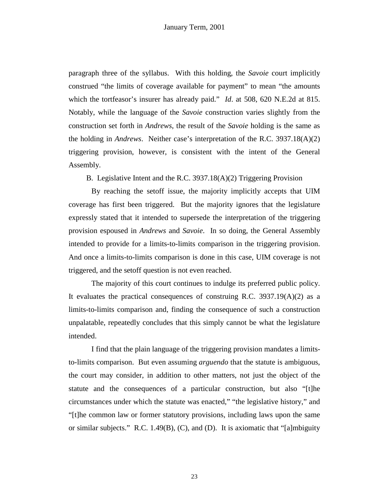paragraph three of the syllabus. With this holding, the *Savoie* court implicitly construed "the limits of coverage available for payment" to mean "the amounts which the tortfeasor's insurer has already paid." *Id*. at 508, 620 N.E.2d at 815. Notably, while the language of the *Savoie* construction varies slightly from the construction set forth in *Andrews*, the result of the *Savoie* holding is the same as the holding in *Andrews*. Neither case's interpretation of the R.C. 3937.18(A)(2) triggering provision, however, is consistent with the intent of the General Assembly.

B. Legislative Intent and the R.C. 3937.18(A)(2) Triggering Provision

 By reaching the setoff issue, the majority implicitly accepts that UIM coverage has first been triggered. But the majority ignores that the legislature expressly stated that it intended to supersede the interpretation of the triggering provision espoused in *Andrews* and *Savoie*. In so doing, the General Assembly intended to provide for a limits-to-limits comparison in the triggering provision. And once a limits-to-limits comparison is done in this case, UIM coverage is not triggered, and the setoff question is not even reached.

 The majority of this court continues to indulge its preferred public policy. It evaluates the practical consequences of construing R.C.  $3937.19(A)(2)$  as a limits-to-limits comparison and, finding the consequence of such a construction unpalatable, repeatedly concludes that this simply cannot be what the legislature intended.

 I find that the plain language of the triggering provision mandates a limitsto-limits comparison. But even assuming *arguendo* that the statute is ambiguous, the court may consider, in addition to other matters, not just the object of the statute and the consequences of a particular construction, but also "[t]he circumstances under which the statute was enacted," "the legislative history," and "[t]he common law or former statutory provisions, including laws upon the same or similar subjects." R.C. 1.49 $(B)$ ,  $(C)$ , and  $(D)$ . It is axiomatic that "[a]mbiguity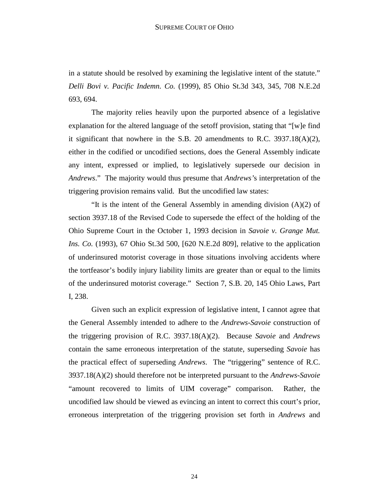in a statute should be resolved by examining the legislative intent of the statute." *Delli Bovi v. Pacific Indemn. Co.* (1999), 85 Ohio St.3d 343, 345, 708 N.E.2d 693, 694.

 The majority relies heavily upon the purported absence of a legislative explanation for the altered language of the setoff provision, stating that "[w]e find it significant that nowhere in the S.B. 20 amendments to R.C. 3937.18(A)(2), either in the codified or uncodified sections, does the General Assembly indicate any intent, expressed or implied, to legislatively supersede our decision in *Andrews*." The majority would thus presume that *Andrews'*s interpretation of the triggering provision remains valid. But the uncodified law states:

 "It is the intent of the General Assembly in amending division (A)(2) of section 3937.18 of the Revised Code to supersede the effect of the holding of the Ohio Supreme Court in the October 1, 1993 decision in *Savoie v. Grange Mut. Ins. Co.* (1993), 67 Ohio St.3d 500, [620 N.E.2d 809], relative to the application of underinsured motorist coverage in those situations involving accidents where the tortfeasor's bodily injury liability limits are greater than or equal to the limits of the underinsured motorist coverage." Section 7, S.B. 20, 145 Ohio Laws, Part I, 238.

 Given such an explicit expression of legislative intent, I cannot agree that the General Assembly intended to adhere to the *Andrews-Savoie* construction of the triggering provision of R.C. 3937.18(A)(2). Because *Savoie* and *Andrews* contain the same erroneous interpretation of the statute, superseding *Savoie* has the practical effect of superseding *Andrews*. The "triggering" sentence of R.C. 3937.18(A)(2) should therefore not be interpreted pursuant to the *Andrews*-*Savoie* "amount recovered to limits of UIM coverage" comparison. Rather, the uncodified law should be viewed as evincing an intent to correct this court's prior, erroneous interpretation of the triggering provision set forth in *Andrews* and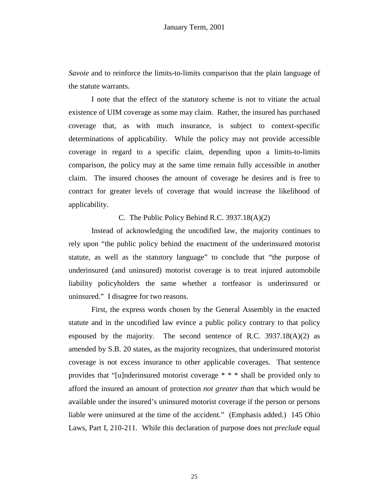*Savoie* and to reinforce the limits-to-limits comparison that the plain language of the statute warrants.

 I note that the effect of the statutory scheme is not to vitiate the actual existence of UIM coverage as some may claim. Rather, the insured has purchased coverage that, as with much insurance, is subject to context-specific determinations of applicability. While the policy may not provide accessible coverage in regard to a specific claim, depending upon a limits-to-limits comparison, the policy may at the same time remain fully accessible in another claim. The insured chooses the amount of coverage he desires and is free to contract for greater levels of coverage that would increase the likelihood of applicability.

C. The Public Policy Behind R.C. 3937.18(A)(2)

 Instead of acknowledging the uncodified law, the majority continues to rely upon "the public policy behind the enactment of the underinsured motorist statute, as well as the statutory language" to conclude that "the purpose of underinsured (and uninsured) motorist coverage is to treat injured automobile liability policyholders the same whether a tortfeasor is underinsured or uninsured." I disagree for two reasons.

 First, the express words chosen by the General Assembly in the enacted statute and in the uncodified law evince a public policy contrary to that policy espoused by the majority. The second sentence of R.C.  $3937.18(A)(2)$  as amended by S.B. 20 states, as the majority recognizes, that underinsured motorist coverage is not excess insurance to other applicable coverages. That sentence provides that "[u]nderinsured motorist coverage \* \* \* shall be provided only to afford the insured an amount of protection *not greater than* that which would be available under the insured's uninsured motorist coverage if the person or persons liable were uninsured at the time of the accident." (Emphasis added.) 145 Ohio Laws, Part I, 210-211. While this declaration of purpose does not *preclude* equal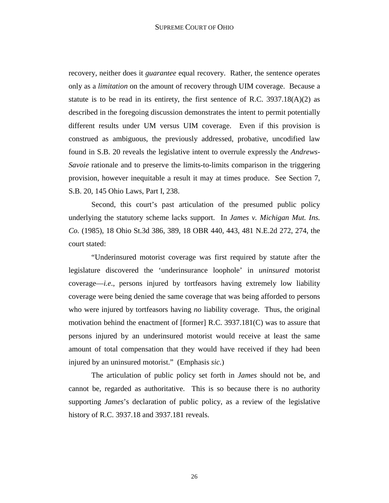recovery, neither does it *guarantee* equal recovery. Rather, the sentence operates only as a *limitation* on the amount of recovery through UIM coverage. Because a statute is to be read in its entirety, the first sentence of R.C.  $3937.18(A)(2)$  as described in the foregoing discussion demonstrates the intent to permit potentially different results under UM versus UIM coverage. Even if this provision is construed as ambiguous, the previously addressed, probative, uncodified law found in S.B. 20 reveals the legislative intent to overrule expressly the *Andrews*-*Savoie* rationale and to preserve the limits-to-limits comparison in the triggering provision, however inequitable a result it may at times produce. See Section 7, S.B. 20, 145 Ohio Laws, Part I, 238.

 Second, this court's past articulation of the presumed public policy underlying the statutory scheme lacks support. In *James v. Michigan Mut. Ins. Co.* (1985), 18 Ohio St.3d 386, 389, 18 OBR 440, 443, 481 N.E.2d 272, 274, the court stated:

 "Underinsured motorist coverage was first required by statute after the legislature discovered the 'underinsurance loophole' in *uninsured* motorist coverage—*i.e*., persons injured by tortfeasors having extremely low liability coverage were being denied the same coverage that was being afforded to persons who were injured by tortfeasors having *no* liability coverage. Thus, the original motivation behind the enactment of [former] R.C. 3937.181(C) was to assure that persons injured by an underinsured motorist would receive at least the same amount of total compensation that they would have received if they had been injured by an uninsured motorist." (Emphasis *sic*.)

 The articulation of public policy set forth in *James* should not be, and cannot be, regarded as authoritative. This is so because there is no authority supporting *James*'s declaration of public policy, as a review of the legislative history of R.C. 3937.18 and 3937.181 reveals.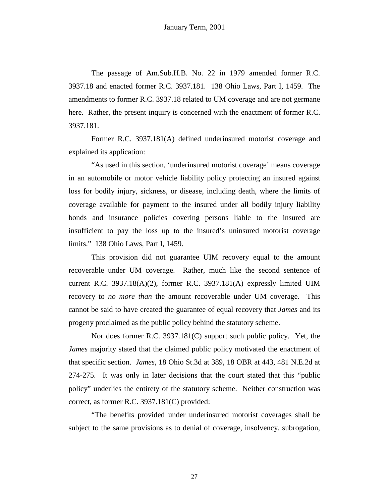The passage of Am.Sub.H.B. No. 22 in 1979 amended former R.C. 3937.18 and enacted former R.C. 3937.181. 138 Ohio Laws, Part I, 1459. The amendments to former R.C. 3937.18 related to UM coverage and are not germane here. Rather, the present inquiry is concerned with the enactment of former R.C. 3937.181.

 Former R.C. 3937.181(A) defined underinsured motorist coverage and explained its application:

 "As used in this section, 'underinsured motorist coverage' means coverage in an automobile or motor vehicle liability policy protecting an insured against loss for bodily injury, sickness, or disease, including death, where the limits of coverage available for payment to the insured under all bodily injury liability bonds and insurance policies covering persons liable to the insured are insufficient to pay the loss up to the insured's uninsured motorist coverage limits." 138 Ohio Laws, Part I, 1459.

 This provision did not guarantee UIM recovery equal to the amount recoverable under UM coverage. Rather, much like the second sentence of current R.C.  $3937.18(A)(2)$ , former R.C.  $3937.181(A)$  expressly limited UIM recovery to *no more than* the amount recoverable under UM coverage. This cannot be said to have created the guarantee of equal recovery that *James* and its progeny proclaimed as the public policy behind the statutory scheme.

 Nor does former R.C. 3937.181(C) support such public policy. Yet, the *James* majority stated that the claimed public policy motivated the enactment of that specific section. *James*, 18 Ohio St.3d at 389, 18 OBR at 443, 481 N.E.2d at 274-275. It was only in later decisions that the court stated that this "public policy" underlies the entirety of the statutory scheme. Neither construction was correct, as former R.C. 3937.181(C) provided:

 "The benefits provided under underinsured motorist coverages shall be subject to the same provisions as to denial of coverage, insolvency, subrogation,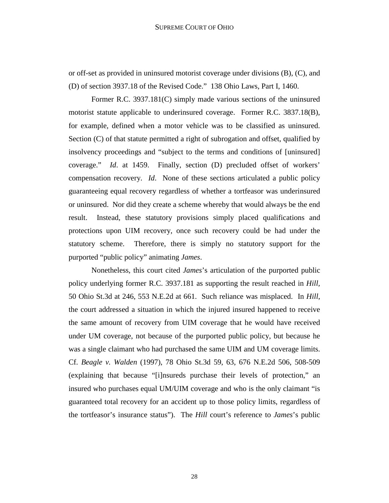or off-set as provided in uninsured motorist coverage under divisions (B), (C), and (D) of section 3937.18 of the Revised Code." 138 Ohio Laws, Part I, 1460.

 Former R.C. 3937.181(C) simply made various sections of the uninsured motorist statute applicable to underinsured coverage. Former R.C. 3837.18(B), for example, defined when a motor vehicle was to be classified as uninsured. Section (C) of that statute permitted a right of subrogation and offset, qualified by insolvency proceedings and "subject to the terms and conditions of [uninsured] coverage." *Id*. at 1459. Finally, section (D) precluded offset of workers' compensation recovery. *Id*. None of these sections articulated a public policy guaranteeing equal recovery regardless of whether a tortfeasor was underinsured or uninsured. Nor did they create a scheme whereby that would always be the end result. Instead, these statutory provisions simply placed qualifications and protections upon UIM recovery, once such recovery could be had under the statutory scheme. Therefore, there is simply no statutory support for the purported "public policy" animating *James*.

 Nonetheless, this court cited *James*'s articulation of the purported public policy underlying former R.C. 3937.181 as supporting the result reached in *Hill,* 50 Ohio St.3d at 246, 553 N.E.2d at 661. Such reliance was misplaced. In *Hill*, the court addressed a situation in which the injured insured happened to receive the same amount of recovery from UIM coverage that he would have received under UM coverage, not because of the purported public policy, but because he was a single claimant who had purchased the same UIM and UM coverage limits. Cf. *Beagle v. Walden* (1997), 78 Ohio St.3d 59, 63, 676 N.E.2d 506, 508-509 (explaining that because "[i]nsureds purchase their levels of protection," an insured who purchases equal UM/UIM coverage and who is the only claimant "is guaranteed total recovery for an accident up to those policy limits, regardless of the tortfeasor's insurance status"). The *Hill* court's reference to *James*'s public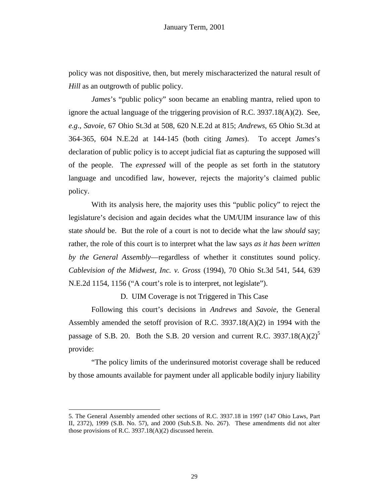policy was not dispositive, then, but merely mischaracterized the natural result of *Hill* as an outgrowth of public policy.

*James*'s "public policy" soon became an enabling mantra, relied upon to ignore the actual language of the triggering provision of R.C. 3937.18(A)(2). See, *e.g*., *Savoie*, 67 Ohio St.3d at 508, 620 N.E.2d at 815; *Andrews*, 65 Ohio St.3d at 364-365, 604 N.E.2d at 144-145 (both citing *James*). To accept *James*'s declaration of public policy is to accept judicial fiat as capturing the supposed will of the people. The *expressed* will of the people as set forth in the statutory language and uncodified law, however, rejects the majority's claimed public policy.

 With its analysis here, the majority uses this "public policy" to reject the legislature's decision and again decides what the UM/UIM insurance law of this state *should* be. But the role of a court is not to decide what the law *should* say; rather, the role of this court is to interpret what the law says *as it has been written by the General Assembly*—regardless of whether it constitutes sound policy. *Cablevision of the Midwest, Inc. v. Gross* (1994), 70 Ohio St.3d 541, 544, 639 N.E.2d 1154, 1156 ("A court's role is to interpret, not legislate").

D. UIM Coverage is not Triggered in This Case

 Following this court's decisions in *Andrews* and *Savoie*, the General Assembly amended the setoff provision of R.C. 3937.18( $A$ )(2) in 1994 with the passage of S.B. 20. Both the S.B. 20 version and current R.C.  $3937.18(A)(2)^5$ provide:

 "The policy limits of the underinsured motorist coverage shall be reduced by those amounts available for payment under all applicable bodily injury liability

<sup>5.</sup> The General Assembly amended other sections of R.C. 3937.18 in 1997 (147 Ohio Laws, Part II, 2372), 1999 (S.B. No. 57), and 2000 (Sub.S.B. No. 267). These amendments did not alter those provisions of R.C. 3937.18(A)(2) discussed herein.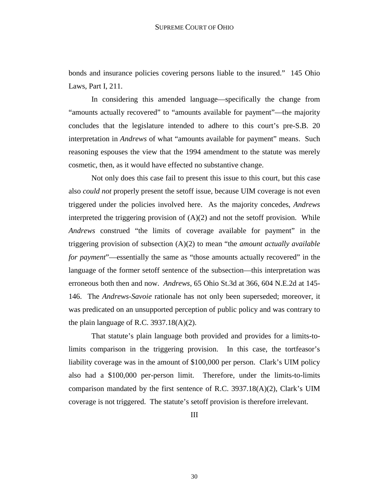bonds and insurance policies covering persons liable to the insured." 145 Ohio Laws, Part I, 211.

 In considering this amended language—specifically the change from "amounts actually recovered" to "amounts available for payment"—the majority concludes that the legislature intended to adhere to this court's pre-S.B. 20 interpretation in *Andrews* of what "amounts available for payment" means. Such reasoning espouses the view that the 1994 amendment to the statute was merely cosmetic, then, as it would have effected no substantive change.

 Not only does this case fail to present this issue to this court, but this case also *could not* properly present the setoff issue, because UIM coverage is not even triggered under the policies involved here. As the majority concedes, *Andrews* interpreted the triggering provision of  $(A)(2)$  and not the setoff provision. While *Andrews* construed "the limits of coverage available for payment" in the triggering provision of subsection (A)(2) to mean "the *amount actually available for payment*"—essentially the same as "those amounts actually recovered" in the language of the former setoff sentence of the subsection—this interpretation was erroneous both then and now. *Andrews*, 65 Ohio St.3d at 366, 604 N.E.2d at 145- 146. The *Andrews-Savoie* rationale has not only been superseded; moreover, it was predicated on an unsupported perception of public policy and was contrary to the plain language of R.C. 3937.18(A)(2).

 That statute's plain language both provided and provides for a limits-tolimits comparison in the triggering provision. In this case, the tortfeasor's liability coverage was in the amount of \$100,000 per person. Clark's UIM policy also had a \$100,000 per-person limit. Therefore, under the limits-to-limits comparison mandated by the first sentence of R.C. 3937.18(A)(2), Clark's UIM coverage is not triggered. The statute's setoff provision is therefore irrelevant.